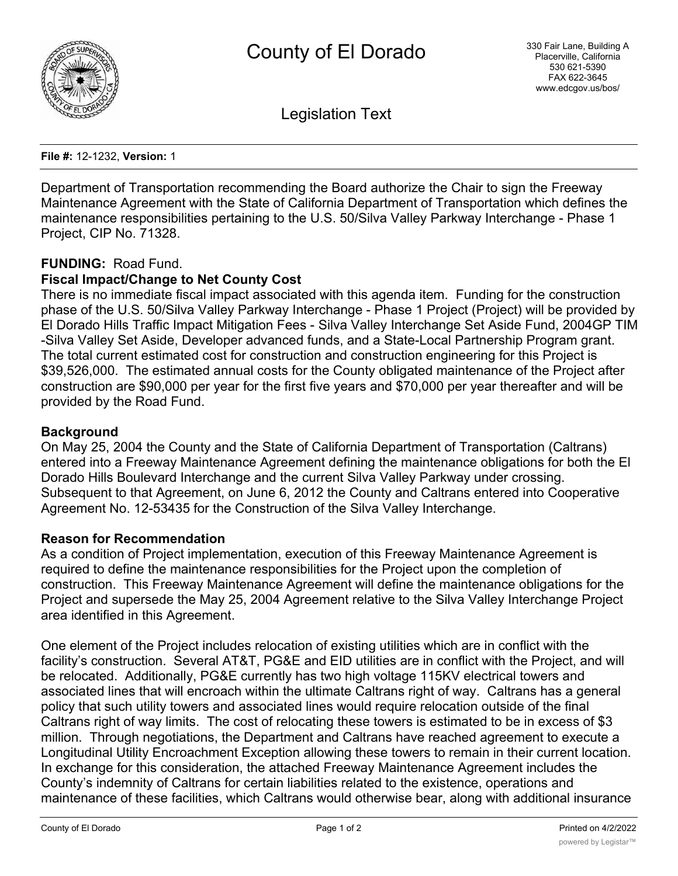

Legislation Text

**File #:** 12-1232, **Version:** 1

Department of Transportation recommending the Board authorize the Chair to sign the Freeway Maintenance Agreement with the State of California Department of Transportation which defines the maintenance responsibilities pertaining to the U.S. 50/Silva Valley Parkway Interchange - Phase 1 Project, CIP No. 71328.

# **FUNDING:** Road Fund.

# **Fiscal Impact/Change to Net County Cost**

There is no immediate fiscal impact associated with this agenda item. Funding for the construction phase of the U.S. 50/Silva Valley Parkway Interchange - Phase 1 Project (Project) will be provided by El Dorado Hills Traffic Impact Mitigation Fees - Silva Valley Interchange Set Aside Fund, 2004GP TIM -Silva Valley Set Aside, Developer advanced funds, and a State-Local Partnership Program grant. The total current estimated cost for construction and construction engineering for this Project is \$39,526,000. The estimated annual costs for the County obligated maintenance of the Project after construction are \$90,000 per year for the first five years and \$70,000 per year thereafter and will be provided by the Road Fund.

### **Background**

On May 25, 2004 the County and the State of California Department of Transportation (Caltrans) entered into a Freeway Maintenance Agreement defining the maintenance obligations for both the El Dorado Hills Boulevard Interchange and the current Silva Valley Parkway under crossing. Subsequent to that Agreement, on June 6, 2012 the County and Caltrans entered into Cooperative Agreement No. 12-53435 for the Construction of the Silva Valley Interchange.

#### **Reason for Recommendation**

As a condition of Project implementation, execution of this Freeway Maintenance Agreement is required to define the maintenance responsibilities for the Project upon the completion of construction. This Freeway Maintenance Agreement will define the maintenance obligations for the Project and supersede the May 25, 2004 Agreement relative to the Silva Valley Interchange Project area identified in this Agreement.

One element of the Project includes relocation of existing utilities which are in conflict with the facility's construction. Several AT&T, PG&E and EID utilities are in conflict with the Project, and will be relocated. Additionally, PG&E currently has two high voltage 115KV electrical towers and associated lines that will encroach within the ultimate Caltrans right of way. Caltrans has a general policy that such utility towers and associated lines would require relocation outside of the final Caltrans right of way limits. The cost of relocating these towers is estimated to be in excess of \$3 million. Through negotiations, the Department and Caltrans have reached agreement to execute a Longitudinal Utility Encroachment Exception allowing these towers to remain in their current location. In exchange for this consideration, the attached Freeway Maintenance Agreement includes the County's indemnity of Caltrans for certain liabilities related to the existence, operations and maintenance of these facilities, which Caltrans would otherwise bear, along with additional insurance